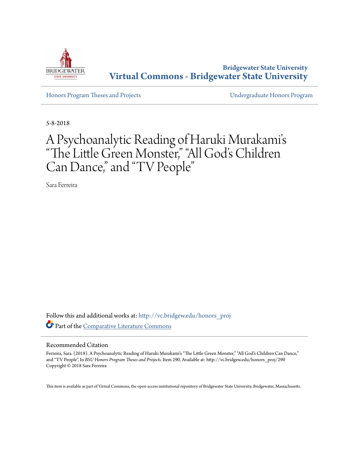

**Bridgewater State University [Virtual Commons - Bridgewater State University](http://vc.bridgew.edu?utm_source=vc.bridgew.edu%2Fhonors_proj%2F290&utm_medium=PDF&utm_campaign=PDFCoverPages)**

[Honors Program Theses and Projects](http://vc.bridgew.edu/honors_proj?utm_source=vc.bridgew.edu%2Fhonors_proj%2F290&utm_medium=PDF&utm_campaign=PDFCoverPages) [Undergraduate Honors Program](http://vc.bridgew.edu/honors?utm_source=vc.bridgew.edu%2Fhonors_proj%2F290&utm_medium=PDF&utm_campaign=PDFCoverPages)

5-8-2018

# A Psychoanalytic Reading of Haruki Murakami' s "The Little Green Monster," "All God's Children Can Dance," and "TV People"

Sara Ferreira

Follow this and additional works at: [http://vc.bridgew.edu/honors\\_proj](http://vc.bridgew.edu/honors_proj?utm_source=vc.bridgew.edu%2Fhonors_proj%2F290&utm_medium=PDF&utm_campaign=PDFCoverPages) Part of the [Comparative Literature Commons](http://network.bepress.com/hgg/discipline/454?utm_source=vc.bridgew.edu%2Fhonors_proj%2F290&utm_medium=PDF&utm_campaign=PDFCoverPages)

#### Recommended Citation

Ferreira, Sara. (2018). A Psychoanalytic Reading of Haruki Murakami's "The Little Green Monster," "All God's Children Can Dance," and "TV People". In *BSU Honors Program Theses and Projects.* Item 290. Available at: http://vc.bridgew.edu/honors\_proj/290 Copyright © 2018 Sara Ferreira

This item is available as part of Virtual Commons, the open-access institutional repository of Bridgewater State University, Bridgewater, Massachusetts.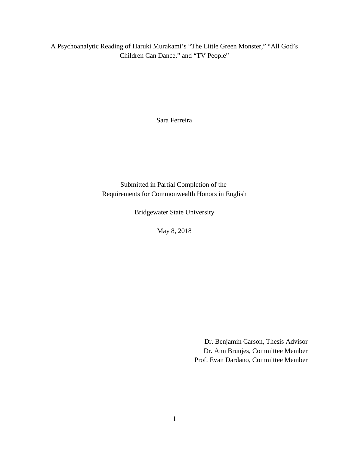A Psychoanalytic Reading of Haruki Murakami's "The Little Green Monster," "All God's Children Can Dance," and "TV People"

Sara Ferreira

Submitted in Partial Completion of the Requirements for Commonwealth Honors in English

Bridgewater State University

May 8, 2018

Dr. Benjamin Carson, Thesis Advisor Dr. Ann Brunjes, Committee Member Prof. Evan Dardano, Committee Member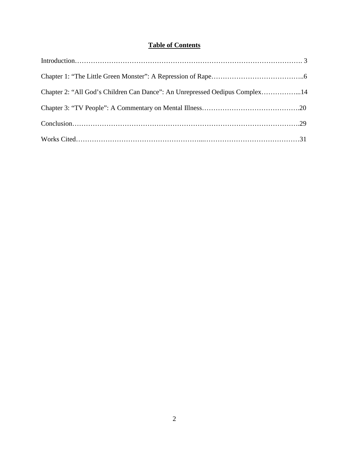# **Table of Contents**

| Chapter 2: "All God's Children Can Dance": An Unrepressed Oedipus Complex14 |  |
|-----------------------------------------------------------------------------|--|
|                                                                             |  |
|                                                                             |  |
|                                                                             |  |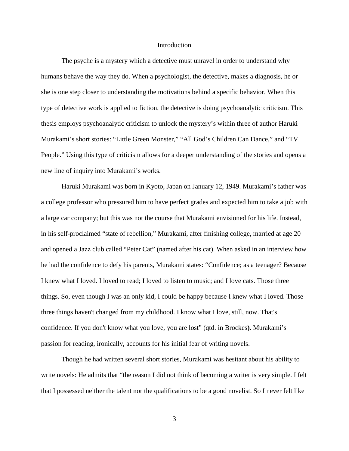## **Introduction**

The psyche is a mystery which a detective must unravel in order to understand why humans behave the way they do. When a psychologist, the detective, makes a diagnosis, he or she is one step closer to understanding the motivations behind a specific behavior. When this type of detective work is applied to fiction, the detective is doing psychoanalytic criticism. This thesis employs psychoanalytic criticism to unlock the mystery's within three of author Haruki Murakami's short stories: "Little Green Monster," "All God's Children Can Dance," and "TV People." Using this type of criticism allows for a deeper understanding of the stories and opens a new line of inquiry into Murakami's works.

Haruki Murakami was born in Kyoto, Japan on January 12, 1949. Murakami's father was a college professor who pressured him to have perfect grades and expected him to take a job with a large car company; but this was not the course that Murakami envisioned for his life. Instead, in his self-proclaimed "state of rebellion," Murakami, after finishing college, married at age 20 and opened a Jazz club called "Peter Cat" (named after his cat). When asked in an interview how he had the confidence to defy his parents, Murakami states: "Confidence; as a teenager? Because I knew what I loved. I loved to read; I loved to listen to music; and I love cats. Those three things. So, even though I was an only kid, I could be happy because I knew what I loved. Those three things haven't changed from my childhood. I know what I love, still, now. That's confidence. If you don't know what you love, you are lost" (qtd. in Brockes**)**. Murakami's passion for reading, ironically, accounts for his initial fear of writing novels.

Though he had written several short stories, Murakami was hesitant about his ability to write novels: He admits that "the reason I did not think of becoming a writer is very simple. I felt that I possessed neither the talent nor the qualifications to be a good novelist. So I never felt like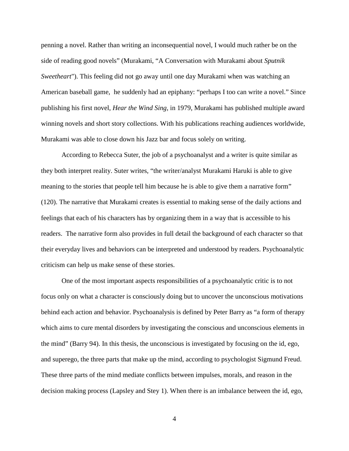penning a novel. Rather than writing an inconsequential novel, I would much rather be on the side of reading good novels" (Murakami, "A Conversation with Murakami about *Sputnik Sweetheart*"). This feeling did not go away until one day Murakami when was watching an American baseball game, he suddenly had an epiphany: "perhaps I too can write a novel." Since publishing his first novel, *Hear the Wind Sing*, in 1979, Murakami has published multiple award winning novels and short story collections. With his publications reaching audiences worldwide, Murakami was able to close down his Jazz bar and focus solely on writing.

According to Rebecca Suter, the job of a psychoanalyst and a writer is quite similar as they both interpret reality. Suter writes, "the writer/analyst Murakami Haruki is able to give meaning to the stories that people tell him because he is able to give them a narrative form" (120). The narrative that Murakami creates is essential to making sense of the daily actions and feelings that each of his characters has by organizing them in a way that is accessible to his readers. The narrative form also provides in full detail the background of each character so that their everyday lives and behaviors can be interpreted and understood by readers. Psychoanalytic criticism can help us make sense of these stories.

One of the most important aspects responsibilities of a psychoanalytic critic is to not focus only on what a character is consciously doing but to uncover the unconscious motivations behind each action and behavior. Psychoanalysis is defined by Peter Barry as "a form of therapy which aims to cure mental disorders by investigating the conscious and unconscious elements in the mind" (Barry 94). In this thesis, the unconscious is investigated by focusing on the id, ego, and superego, the three parts that make up the mind, according to psychologist Sigmund Freud. These three parts of the mind mediate conflicts between impulses, morals, and reason in the decision making process (Lapsley and Stey 1). When there is an imbalance between the id, ego,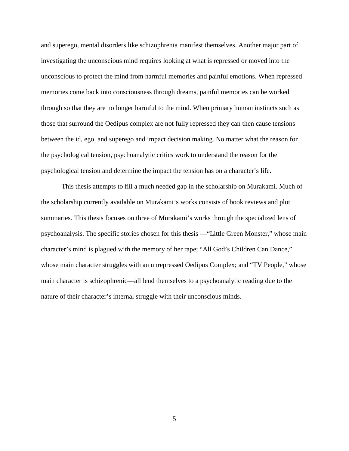and superego, mental disorders like schizophrenia manifest themselves. Another major part of investigating the unconscious mind requires looking at what is repressed or moved into the unconscious to protect the mind from harmful memories and painful emotions. When repressed memories come back into consciousness through dreams, painful memories can be worked through so that they are no longer harmful to the mind. When primary human instincts such as those that surround the Oedipus complex are not fully repressed they can then cause tensions between the id, ego, and superego and impact decision making. No matter what the reason for the psychological tension, psychoanalytic critics work to understand the reason for the psychological tension and determine the impact the tension has on a character's life.

This thesis attempts to fill a much needed gap in the scholarship on Murakami. Much of the scholarship currently available on Murakami's works consists of book reviews and plot summaries. This thesis focuses on three of Murakami's works through the specialized lens of psychoanalysis. The specific stories chosen for this thesis —"Little Green Monster," whose main character's mind is plagued with the memory of her rape; "All God's Children Can Dance," whose main character struggles with an unrepressed Oedipus Complex; and "TV People," whose main character is schizophrenic—all lend themselves to a psychoanalytic reading due to the nature of their character's internal struggle with their unconscious minds.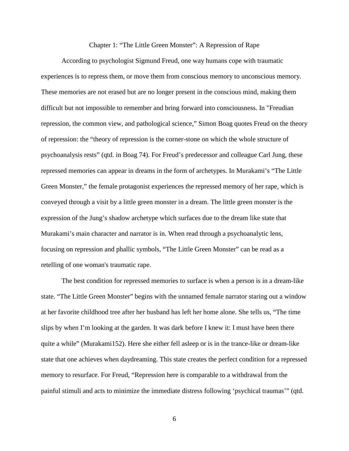## Chapter 1: "The Little Green Monster": A Repression of Rape

According to psychologist Sigmund Freud, one way humans cope with traumatic experiences is to repress them, or move them from conscious memory to unconscious memory. These memories are not erased but are no longer present in the conscious mind, making them difficult but not impossible to remember and bring forward into consciousness. In "Freudian repression, the common view, and pathological science," Simon Boag quotes Freud on the theory of repression: the "theory of repression is the corner-stone on which the whole structure of psychoanalysis rests" (qtd. in Boag 74). For Freud's predecessor and colleague Carl Jung, these repressed memories can appear in dreams in the form of archetypes. In Murakami's "The Little Green Monster," the female protagonist experiences the repressed memory of her rape, which is conveyed through a visit by a little green monster in a dream. The little green monster is the expression of the Jung's shadow archetype which surfaces due to the dream like state that Murakami's main character and narrator is in. When read through a psychoanalytic lens, focusing on repression and phallic symbols, "The Little Green Monster" can be read as a retelling of one woman's traumatic rape.

The best condition for repressed memories to surface is when a person is in a dream-like state. "The Little Green Monster" begins with the unnamed female narrator staring out a window at her favorite childhood tree after her husband has left her home alone. She tells us, "The time slips by when I'm looking at the garden. It was dark before I knew it: I must have been there quite a while" (Murakami152). Here she either fell asleep or is in the trance-like or dream-like state that one achieves when daydreaming. This state creates the perfect condition for a repressed memory to resurface. For Freud, "Repression here is comparable to a withdrawal from the painful stimuli and acts to minimize the immediate distress following 'psychical traumas'" (qtd.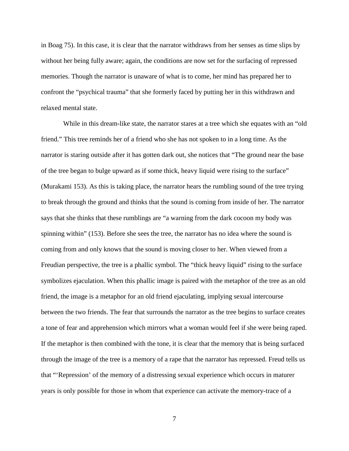in Boag 75). In this case, it is clear that the narrator withdraws from her senses as time slips by without her being fully aware; again, the conditions are now set for the surfacing of repressed memories. Though the narrator is unaware of what is to come, her mind has prepared her to confront the "psychical trauma" that she formerly faced by putting her in this withdrawn and relaxed mental state.

While in this dream-like state, the narrator stares at a tree which she equates with an "old" friend." This tree reminds her of a friend who she has not spoken to in a long time. As the narrator is staring outside after it has gotten dark out, she notices that "The ground near the base of the tree began to bulge upward as if some thick, heavy liquid were rising to the surface" (Murakami 153). As this is taking place, the narrator hears the rumbling sound of the tree trying to break through the ground and thinks that the sound is coming from inside of her. The narrator says that she thinks that these rumblings are "a warning from the dark cocoon my body was spinning within" (153). Before she sees the tree, the narrator has no idea where the sound is coming from and only knows that the sound is moving closer to her. When viewed from a Freudian perspective, the tree is a phallic symbol. The "thick heavy liquid" rising to the surface symbolizes ejaculation. When this phallic image is paired with the metaphor of the tree as an old friend, the image is a metaphor for an old friend ejaculating, implying sexual intercourse between the two friends. The fear that surrounds the narrator as the tree begins to surface creates a tone of fear and apprehension which mirrors what a woman would feel if she were being raped. If the metaphor is then combined with the tone, it is clear that the memory that is being surfaced through the image of the tree is a memory of a rape that the narrator has repressed. Freud tells us that "'Repression' of the memory of a distressing sexual experience which occurs in maturer years is only possible for those in whom that experience can activate the memory-trace of a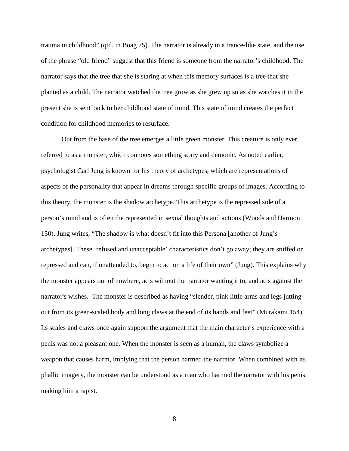trauma in childhood" (qtd. in Boag 75). The narrator is already in a trance-like state, and the use of the phrase "old friend" suggest that this friend is someone from the narrator's childhood. The narrator says that the tree that she is staring at when this memory surfaces is a tree that she planted as a child. The narrator watched the tree grow as she grew up so as she watches it in the present she is sent back to her childhood state of mind. This state of mind creates the perfect condition for childhood memories to resurface.

Out from the base of the tree emerges a little green monster. This creature is only ever referred to as a monster, which connotes something scary and demonic. As noted earlier, psychologist Carl Jung is known for his theory of archetypes, which are representations of aspects of the personality that appear in dreams through specific groups of images. According to this theory, the monster is the shadow archetype. This archetype is the repressed side of a person's mind and is often the represented in sexual thoughts and actions (Woods and Harmon 150). Jung writes, "The shadow is what doesn't fit into this Persona [another of Jung's archetypes]. These 'refused and unacceptable' characteristics don't go away; they are stuffed or repressed and can, if unattended to, begin to act on a life of their own" (Jung). This explains why the monster appears out of nowhere, acts without the narrator wanting it to, and acts against the narrator's wishes. The monster is described as having "slender, pink little arms and legs jutting out from its green-scaled body and long claws at the end of its hands and feet" (Murakami 154). Its scales and claws once again support the argument that the main character's experience with a penis was not a pleasant one. When the monster is seen as a human, the claws symbolize a weapon that causes harm, implying that the person harmed the narrator. When combined with its phallic imagery, the monster can be understood as a man who harmed the narrator with his penis, making him a rapist.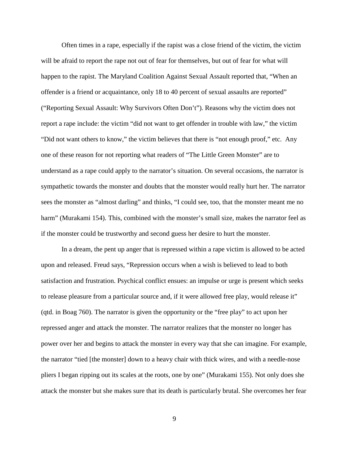Often times in a rape, especially if the rapist was a close friend of the victim, the victim will be afraid to report the rape not out of fear for themselves, but out of fear for what will happen to the rapist. The Maryland Coalition Against Sexual Assault reported that, "When an offender is a friend or acquaintance, only 18 to 40 percent of sexual assaults are reported" ("Reporting Sexual Assault: Why Survivors Often Don't"). Reasons why the victim does not report a rape include: the victim "did not want to get offender in trouble with law," the victim "Did not want others to know," the victim believes that there is "not enough proof," etc. Any one of these reason for not reporting what readers of "The Little Green Monster" are to understand as a rape could apply to the narrator's situation. On several occasions, the narrator is sympathetic towards the monster and doubts that the monster would really hurt her. The narrator sees the monster as "almost darling" and thinks, "I could see, too, that the monster meant me no harm" (Murakami 154). This, combined with the monster's small size, makes the narrator feel as if the monster could be trustworthy and second guess her desire to hurt the monster.

In a dream, the pent up anger that is repressed within a rape victim is allowed to be acted upon and released. Freud says, "Repression occurs when a wish is believed to lead to both satisfaction and frustration. Psychical conflict ensues: an impulse or urge is present which seeks to release pleasure from a particular source and, if it were allowed free play, would release it" (qtd. in Boag 760). The narrator is given the opportunity or the "free play" to act upon her repressed anger and attack the monster. The narrator realizes that the monster no longer has power over her and begins to attack the monster in every way that she can imagine. For example, the narrator "tied [the monster] down to a heavy chair with thick wires, and with a needle-nose pliers I began ripping out its scales at the roots, one by one" (Murakami 155). Not only does she attack the monster but she makes sure that its death is particularly brutal. She overcomes her fear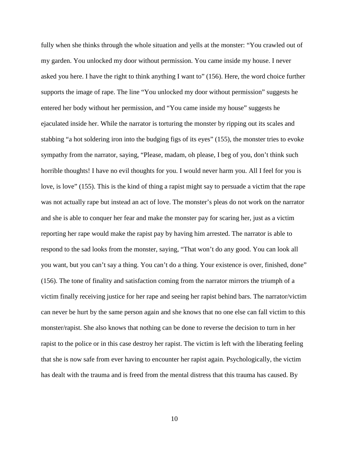fully when she thinks through the whole situation and yells at the monster: "You crawled out of my garden. You unlocked my door without permission. You came inside my house. I never asked you here. I have the right to think anything I want to" (156). Here, the word choice further supports the image of rape. The line "You unlocked my door without permission" suggests he entered her body without her permission, and "You came inside my house" suggests he ejaculated inside her. While the narrator is torturing the monster by ripping out its scales and stabbing "a hot soldering iron into the budging figs of its eyes" (155), the monster tries to evoke sympathy from the narrator, saying, "Please, madam, oh please, I beg of you, don't think such horrible thoughts! I have no evil thoughts for you. I would never harm you. All I feel for you is love, is love" (155). This is the kind of thing a rapist might say to persuade a victim that the rape was not actually rape but instead an act of love. The monster's pleas do not work on the narrator and she is able to conquer her fear and make the monster pay for scaring her, just as a victim reporting her rape would make the rapist pay by having him arrested. The narrator is able to respond to the sad looks from the monster, saying, "That won't do any good. You can look all you want, but you can't say a thing. You can't do a thing. Your existence is over, finished, done" (156). The tone of finality and satisfaction coming from the narrator mirrors the triumph of a victim finally receiving justice for her rape and seeing her rapist behind bars. The narrator/victim can never be hurt by the same person again and she knows that no one else can fall victim to this monster/rapist. She also knows that nothing can be done to reverse the decision to turn in her rapist to the police or in this case destroy her rapist. The victim is left with the liberating feeling that she is now safe from ever having to encounter her rapist again. Psychologically, the victim has dealt with the trauma and is freed from the mental distress that this trauma has caused. By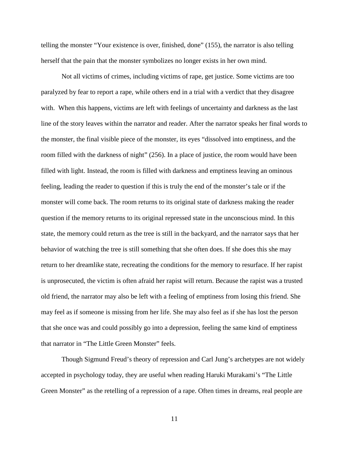telling the monster "Your existence is over, finished, done" (155), the narrator is also telling herself that the pain that the monster symbolizes no longer exists in her own mind.

Not all victims of crimes, including victims of rape, get justice. Some victims are too paralyzed by fear to report a rape, while others end in a trial with a verdict that they disagree with. When this happens, victims are left with feelings of uncertainty and darkness as the last line of the story leaves within the narrator and reader. After the narrator speaks her final words to the monster, the final visible piece of the monster, its eyes "dissolved into emptiness, and the room filled with the darkness of night" (256). In a place of justice, the room would have been filled with light. Instead, the room is filled with darkness and emptiness leaving an ominous feeling, leading the reader to question if this is truly the end of the monster's tale or if the monster will come back. The room returns to its original state of darkness making the reader question if the memory returns to its original repressed state in the unconscious mind. In this state, the memory could return as the tree is still in the backyard, and the narrator says that her behavior of watching the tree is still something that she often does. If she does this she may return to her dreamlike state, recreating the conditions for the memory to resurface. If her rapist is unprosecuted, the victim is often afraid her rapist will return. Because the rapist was a trusted old friend, the narrator may also be left with a feeling of emptiness from losing this friend. She may feel as if someone is missing from her life. She may also feel as if she has lost the person that she once was and could possibly go into a depression, feeling the same kind of emptiness that narrator in "The Little Green Monster" feels.

Though Sigmund Freud's theory of repression and Carl Jung's archetypes are not widely accepted in psychology today, they are useful when reading Haruki Murakami's "The Little Green Monster" as the retelling of a repression of a rape. Often times in dreams, real people are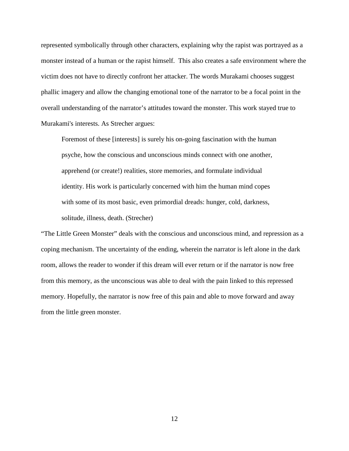represented symbolically through other characters, explaining why the rapist was portrayed as a monster instead of a human or the rapist himself. This also creates a safe environment where the victim does not have to directly confront her attacker. The words Murakami chooses suggest phallic imagery and allow the changing emotional tone of the narrator to be a focal point in the overall understanding of the narrator's attitudes toward the monster. This work stayed true to Murakami's interests. As Strecher argues:

Foremost of these [interests] is surely his on-going fascination with the human psyche, how the conscious and unconscious minds connect with one another, apprehend (or create!) realities, store memories, and formulate individual identity. His work is particularly concerned with him the human mind copes with some of its most basic, even primordial dreads: hunger, cold, darkness, solitude, illness, death. (Strecher)

"The Little Green Monster" deals with the conscious and unconscious mind, and repression as a coping mechanism. The uncertainty of the ending, wherein the narrator is left alone in the dark room, allows the reader to wonder if this dream will ever return or if the narrator is now free from this memory, as the unconscious was able to deal with the pain linked to this repressed memory. Hopefully, the narrator is now free of this pain and able to move forward and away from the little green monster.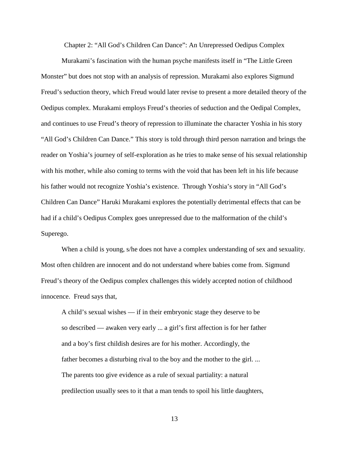Chapter 2: "All God's Children Can Dance": An Unrepressed Oedipus Complex

Murakami's fascination with the human psyche manifests itself in "The Little Green Monster" but does not stop with an analysis of repression. Murakami also explores Sigmund Freud's seduction theory, which Freud would later revise to present a more detailed theory of the Oedipus complex. Murakami employs Freud's theories of seduction and the Oedipal Complex, and continues to use Freud's theory of repression to illuminate the character Yoshia in his story "All God's Children Can Dance." This story is told through third person narration and brings the reader on Yoshia's journey of self-exploration as he tries to make sense of his sexual relationship with his mother, while also coming to terms with the void that has been left in his life because his father would not recognize Yoshia's existence. Through Yoshia's story in "All God's Children Can Dance" Haruki Murakami explores the potentially detrimental effects that can be had if a child's Oedipus Complex goes unrepressed due to the malformation of the child's Superego.

When a child is young, s/he does not have a complex understanding of sex and sexuality. Most often children are innocent and do not understand where babies come from. Sigmund Freud's theory of the Oedipus complex challenges this widely accepted notion of childhood innocence. Freud says that,

A child's sexual wishes — if in their embryonic stage they deserve to be so described — awaken very early ... a girl's first affection is for her father and a boy's first childish desires are for his mother. Accordingly, the father becomes a disturbing rival to the boy and the mother to the girl. ... The parents too give evidence as a rule of sexual partiality: a natural predilection usually sees to it that a man tends to spoil his little daughters,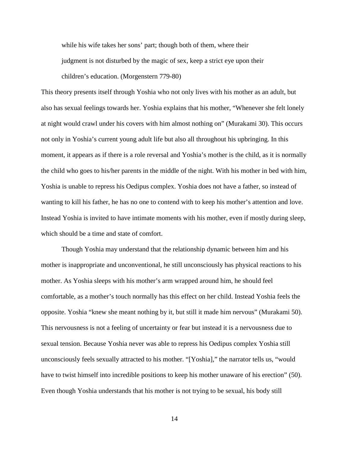while his wife takes her sons' part; though both of them, where their judgment is not disturbed by the magic of sex, keep a strict eye upon their children's education. (Morgenstern 779-80)

This theory presents itself through Yoshia who not only lives with his mother as an adult, but also has sexual feelings towards her. Yoshia explains that his mother, "Whenever she felt lonely at night would crawl under his covers with him almost nothing on" (Murakami 30). This occurs not only in Yoshia's current young adult life but also all throughout his upbringing. In this moment, it appears as if there is a role reversal and Yoshia's mother is the child, as it is normally the child who goes to his/her parents in the middle of the night. With his mother in bed with him, Yoshia is unable to repress his Oedipus complex. Yoshia does not have a father, so instead of wanting to kill his father, he has no one to contend with to keep his mother's attention and love. Instead Yoshia is invited to have intimate moments with his mother, even if mostly during sleep, which should be a time and state of comfort.

Though Yoshia may understand that the relationship dynamic between him and his mother is inappropriate and unconventional, he still unconsciously has physical reactions to his mother. As Yoshia sleeps with his mother's arm wrapped around him, he should feel comfortable, as a mother's touch normally has this effect on her child. Instead Yoshia feels the opposite. Yoshia "knew she meant nothing by it, but still it made him nervous" (Murakami 50). This nervousness is not a feeling of uncertainty or fear but instead it is a nervousness due to sexual tension. Because Yoshia never was able to repress his Oedipus complex Yoshia still unconsciously feels sexually attracted to his mother. "[Yoshia]," the narrator tells us, "would have to twist himself into incredible positions to keep his mother unaware of his erection" (50). Even though Yoshia understands that his mother is not trying to be sexual, his body still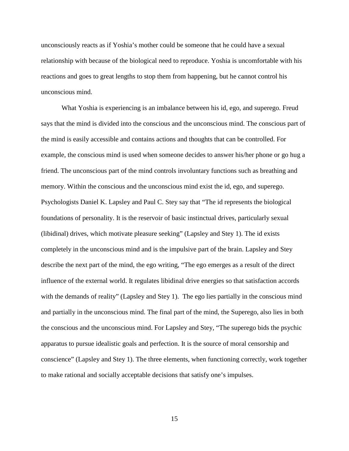unconsciously reacts as if Yoshia's mother could be someone that he could have a sexual relationship with because of the biological need to reproduce. Yoshia is uncomfortable with his reactions and goes to great lengths to stop them from happening, but he cannot control his unconscious mind.

What Yoshia is experiencing is an imbalance between his id, ego, and superego. Freud says that the mind is divided into the conscious and the unconscious mind. The conscious part of the mind is easily accessible and contains actions and thoughts that can be controlled. For example, the conscious mind is used when someone decides to answer his/her phone or go hug a friend. The unconscious part of the mind controls involuntary functions such as breathing and memory. Within the conscious and the unconscious mind exist the id, ego, and superego. Psychologists Daniel K. Lapsley and Paul C. Stey say that "The id represents the biological foundations of personality. It is the reservoir of basic instinctual drives, particularly sexual (libidinal) drives, which motivate pleasure seeking" (Lapsley and Stey 1). The id exists completely in the unconscious mind and is the impulsive part of the brain. Lapsley and Stey describe the next part of the mind, the ego writing, "The ego emerges as a result of the direct influence of the external world. It regulates libidinal drive energies so that satisfaction accords with the demands of reality" (Lapsley and Stey 1). The ego lies partially in the conscious mind and partially in the unconscious mind. The final part of the mind, the Superego, also lies in both the conscious and the unconscious mind. For Lapsley and Stey, "The superego bids the psychic apparatus to pursue idealistic goals and perfection. It is the source of moral censorship and conscience" (Lapsley and Stey 1). The three elements, when functioning correctly, work together to make rational and socially acceptable decisions that satisfy one's impulses.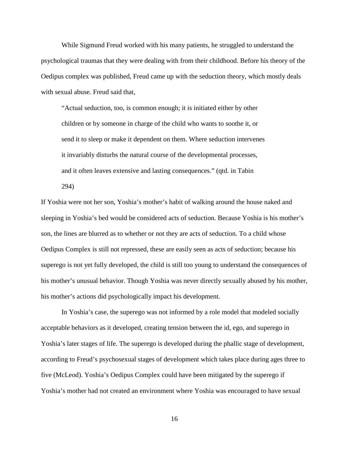While Sigmund Freud worked with his many patients, he struggled to understand the psychological traumas that they were dealing with from their childhood. Before his theory of the Oedipus complex was published, Freud came up with the seduction theory, which mostly deals with sexual abuse. Freud said that,

"Actual seduction, too, is common enough; it is initiated either by other children or by someone in charge of the child who wants to soothe it, or send it to sleep or make it dependent on them. Where seduction intervenes it invariably disturbs the natural course of the developmental processes, and it often leaves extensive and lasting consequences." (qtd. in Tabin 294)

If Yoshia were not her son, Yoshia's mother's habit of walking around the house naked and sleeping in Yoshia's bed would be considered acts of seduction. Because Yoshia is his mother's son, the lines are blurred as to whether or not they are acts of seduction. To a child whose Oedipus Complex is still not repressed, these are easily seen as acts of seduction; because his superego is not yet fully developed, the child is still too young to understand the consequences of his mother's unusual behavior. Though Yoshia was never directly sexually abused by his mother, his mother's actions did psychologically impact his development.

In Yoshia's case, the superego was not informed by a role model that modeled socially acceptable behaviors as it developed, creating tension between the id, ego, and superego in Yoshia's later stages of life. The superego is developed during the phallic stage of development, according to Freud's psychosexual stages of development which takes place during ages three to five (McLeod). Yoshia's Oedipus Complex could have been mitigated by the superego if Yoshia's mother had not created an environment where Yoshia was encouraged to have sexual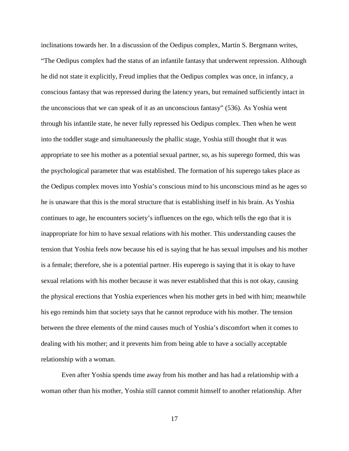inclinations towards her. In a discussion of the Oedipus complex, Martin S. Bergmann writes, "The Oedipus complex had the status of an infantile fantasy that underwent repression. Although he did not state it explicitly, Freud implies that the Oedipus complex was once, in infancy, a conscious fantasy that was repressed during the latency years, but remained sufficiently intact in the unconscious that we can speak of it as an unconscious fantasy" (536). As Yoshia went through his infantile state, he never fully repressed his Oedipus complex. Then when he went into the toddler stage and simultaneously the phallic stage, Yoshia still thought that it was appropriate to see his mother as a potential sexual partner, so, as his superego formed, this was the psychological parameter that was established. The formation of his superego takes place as the Oedipus complex moves into Yoshia's conscious mind to his unconscious mind as he ages so he is unaware that this is the moral structure that is establishing itself in his brain. As Yoshia continues to age, he encounters society's influences on the ego, which tells the ego that it is inappropriate for him to have sexual relations with his mother. This understanding causes the tension that Yoshia feels now because his ed is saying that he has sexual impulses and his mother is a female; therefore, she is a potential partner. His euperego is saying that it is okay to have sexual relations with his mother because it was never established that this is not okay, causing the physical erections that Yoshia experiences when his mother gets in bed with him; meanwhile his ego reminds him that society says that he cannot reproduce with his mother. The tension between the three elements of the mind causes much of Yoshia's discomfort when it comes to dealing with his mother; and it prevents him from being able to have a socially acceptable relationship with a woman.

Even after Yoshia spends time away from his mother and has had a relationship with a woman other than his mother, Yoshia still cannot commit himself to another relationship. After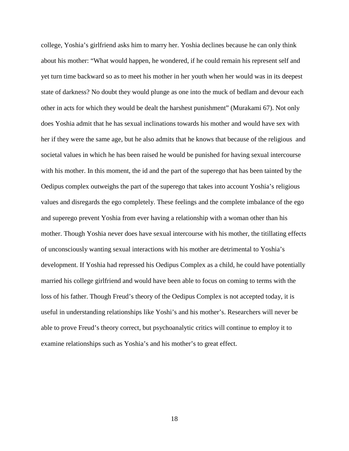college, Yoshia's girlfriend asks him to marry her. Yoshia declines because he can only think about his mother: "What would happen, he wondered, if he could remain his represent self and yet turn time backward so as to meet his mother in her youth when her would was in its deepest state of darkness? No doubt they would plunge as one into the muck of bedlam and devour each other in acts for which they would be dealt the harshest punishment" (Murakami 67). Not only does Yoshia admit that he has sexual inclinations towards his mother and would have sex with her if they were the same age, but he also admits that he knows that because of the religious and societal values in which he has been raised he would be punished for having sexual intercourse with his mother. In this moment, the id and the part of the superego that has been tainted by the Oedipus complex outweighs the part of the superego that takes into account Yoshia's religious values and disregards the ego completely. These feelings and the complete imbalance of the ego and superego prevent Yoshia from ever having a relationship with a woman other than his mother. Though Yoshia never does have sexual intercourse with his mother, the titillating effects of unconsciously wanting sexual interactions with his mother are detrimental to Yoshia's development. If Yoshia had repressed his Oedipus Complex as a child, he could have potentially married his college girlfriend and would have been able to focus on coming to terms with the loss of his father. Though Freud's theory of the Oedipus Complex is not accepted today, it is useful in understanding relationships like Yoshi's and his mother's. Researchers will never be able to prove Freud's theory correct, but psychoanalytic critics will continue to employ it to examine relationships such as Yoshia's and his mother's to great effect.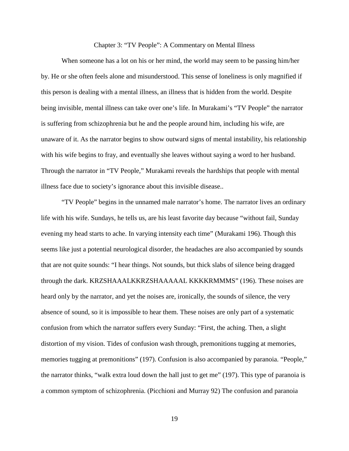Chapter 3: "TV People": A Commentary on Mental Illness

When someone has a lot on his or her mind, the world may seem to be passing him/her by. He or she often feels alone and misunderstood. This sense of loneliness is only magnified if this person is dealing with a mental illness, an illness that is hidden from the world. Despite being invisible, mental illness can take over one's life. In Murakami's "TV People" the narrator is suffering from schizophrenia but he and the people around him, including his wife, are unaware of it. As the narrator begins to show outward signs of mental instability, his relationship with his wife begins to fray, and eventually she leaves without saying a word to her husband. Through the narrator in "TV People," Murakami reveals the hardships that people with mental illness face due to society's ignorance about this invisible disease..

"TV People" begins in the unnamed male narrator's home. The narrator lives an ordinary life with his wife. Sundays, he tells us, are his least favorite day because "without fail, Sunday evening my head starts to ache. In varying intensity each time" (Murakami 196). Though this seems like just a potential neurological disorder, the headaches are also accompanied by sounds that are not quite sounds: "I hear things. Not sounds, but thick slabs of silence being dragged through the dark. KRZSHAAALKKRZSHAAAAAL KKKKRMMMS" (196). These noises are heard only by the narrator, and yet the noises are, ironically, the sounds of silence, the very absence of sound, so it is impossible to hear them. These noises are only part of a systematic confusion from which the narrator suffers every Sunday: "First, the aching. Then, a slight distortion of my vision. Tides of confusion wash through, premonitions tugging at memories, memories tugging at premonitions" (197). Confusion is also accompanied by paranoia. "People," the narrator thinks, "walk extra loud down the hall just to get me" (197). This type of paranoia is a common symptom of schizophrenia. (Picchioni and Murray 92) The confusion and paranoia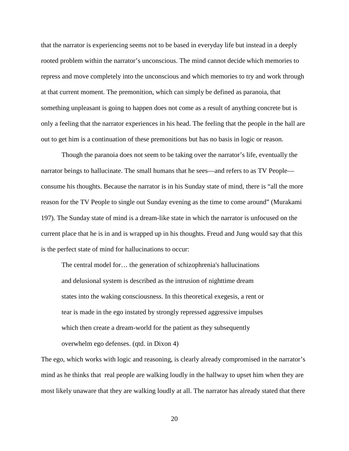that the narrator is experiencing seems not to be based in everyday life but instead in a deeply rooted problem within the narrator's unconscious. The mind cannot decide which memories to repress and move completely into the unconscious and which memories to try and work through at that current moment. The premonition, which can simply be defined as paranoia, that something unpleasant is going to happen does not come as a result of anything concrete but is only a feeling that the narrator experiences in his head. The feeling that the people in the hall are out to get him is a continuation of these premonitions but has no basis in logic or reason.

Though the paranoia does not seem to be taking over the narrator's life, eventually the narrator beings to hallucinate. The small humans that he sees—and refers to as TV People consume his thoughts. Because the narrator is in his Sunday state of mind, there is "all the more reason for the TV People to single out Sunday evening as the time to come around" (Murakami 197). The Sunday state of mind is a dream-like state in which the narrator is unfocused on the current place that he is in and is wrapped up in his thoughts. Freud and Jung would say that this is the perfect state of mind for hallucinations to occur:

The central model for… the generation of schizophrenia's hallucinations and delusional system is described as the intrusion of nighttime dream states into the waking consciousness. In this theoretical exegesis, a rent or tear is made in the ego instated by strongly repressed aggressive impulses which then create a dream-world for the patient as they subsequently overwhelm ego defenses. (qtd. in Dixon 4)

The ego, which works with logic and reasoning, is clearly already compromised in the narrator's mind as he thinks that real people are walking loudly in the hallway to upset him when they are most likely unaware that they are walking loudly at all. The narrator has already stated that there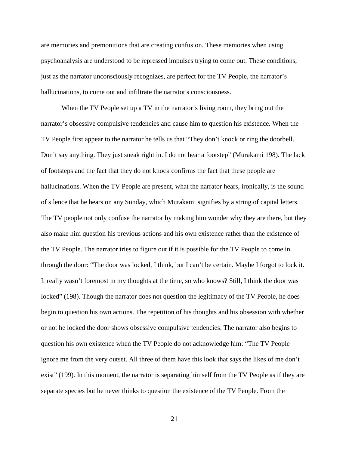are memories and premonitions that are creating confusion. These memories when using psychoanalysis are understood to be repressed impulses trying to come out. These conditions, just as the narrator unconsciously recognizes, are perfect for the TV People, the narrator's hallucinations, to come out and infiltrate the narrator's consciousness.

When the TV People set up a TV in the narrator's living room, they bring out the narrator's obsessive compulsive tendencies and cause him to question his existence. When the TV People first appear to the narrator he tells us that "They don't knock or ring the doorbell. Don't say anything. They just sneak right in. I do not hear a footstep" (Murakami 198). The lack of footsteps and the fact that they do not knock confirms the fact that these people are hallucinations. When the TV People are present, what the narrator hears, ironically, is the sound of silence that he hears on any Sunday, which Murakami signifies by a string of capital letters. The TV people not only confuse the narrator by making him wonder why they are there, but they also make him question his previous actions and his own existence rather than the existence of the TV People. The narrator tries to figure out if it is possible for the TV People to come in through the door: "The door was locked, I think, but I can't be certain. Maybe I forgot to lock it. It really wasn't foremost in my thoughts at the time, so who knows? Still, I think the door was locked" (198). Though the narrator does not question the legitimacy of the TV People, he does begin to question his own actions. The repetition of his thoughts and his obsession with whether or not he locked the door shows obsessive compulsive tendencies. The narrator also begins to question his own existence when the TV People do not acknowledge him: "The TV People ignore me from the very outset. All three of them have this look that says the likes of me don't exist" (199). In this moment, the narrator is separating himself from the TV People as if they are separate species but he never thinks to question the existence of the TV People. From the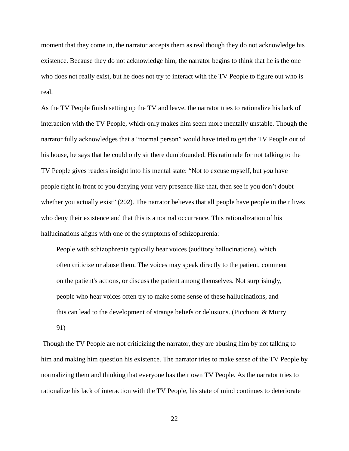moment that they come in, the narrator accepts them as real though they do not acknowledge his existence. Because they do not acknowledge him, the narrator begins to think that he is the one who does not really exist, but he does not try to interact with the TV People to figure out who is real.

As the TV People finish setting up the TV and leave, the narrator tries to rationalize his lack of interaction with the TV People, which only makes him seem more mentally unstable. Though the narrator fully acknowledges that a "normal person" would have tried to get the TV People out of his house, he says that he could only sit there dumbfounded. His rationale for not talking to the TV People gives readers insight into his mental state: "Not to excuse myself, but *you* have people right in front of you denying your very presence like that, then see if you don't doubt whether you actually exist" (202). The narrator believes that all people have people in their lives who deny their existence and that this is a normal occurrence. This rationalization of his hallucinations aligns with one of the symptoms of schizophrenia:

People with schizophrenia typically hear voices (auditory hallucinations), which often criticize or abuse them. The voices may speak directly to the patient, comment on the patient's actions, or discuss the patient among themselves. Not surprisingly, people who hear voices often try to make some sense of these hallucinations, and this can lead to the development of strange beliefs or delusions. (Picchioni & Murry 91)

Though the TV People are not criticizing the narrator, they are abusing him by not talking to him and making him question his existence. The narrator tries to make sense of the TV People by normalizing them and thinking that everyone has their own TV People. As the narrator tries to rationalize his lack of interaction with the TV People, his state of mind continues to deteriorate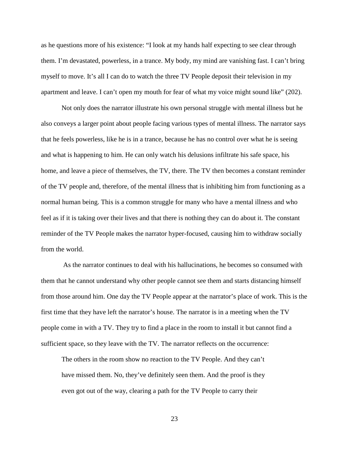as he questions more of his existence: "I look at my hands half expecting to see clear through them. I'm devastated, powerless, in a trance. My body, my mind are vanishing fast. I can't bring myself to move. It's all I can do to watch the three TV People deposit their television in my apartment and leave. I can't open my mouth for fear of what my voice might sound like" (202).

Not only does the narrator illustrate his own personal struggle with mental illness but he also conveys a larger point about people facing various types of mental illness. The narrator says that he feels powerless, like he is in a trance, because he has no control over what he is seeing and what is happening to him. He can only watch his delusions infiltrate his safe space, his home, and leave a piece of themselves, the TV, there. The TV then becomes a constant reminder of the TV people and, therefore, of the mental illness that is inhibiting him from functioning as a normal human being. This is a common struggle for many who have a mental illness and who feel as if it is taking over their lives and that there is nothing they can do about it. The constant reminder of the TV People makes the narrator hyper-focused, causing him to withdraw socially from the world.

As the narrator continues to deal with his hallucinations, he becomes so consumed with them that he cannot understand why other people cannot see them and starts distancing himself from those around him. One day the TV People appear at the narrator's place of work. This is the first time that they have left the narrator's house. The narrator is in a meeting when the TV people come in with a TV. They try to find a place in the room to install it but cannot find a sufficient space, so they leave with the TV. The narrator reflects on the occurrence:

The others in the room show no reaction to the TV People. And they can't have missed them. No, they've definitely seen them. And the proof is they even got out of the way, clearing a path for the TV People to carry their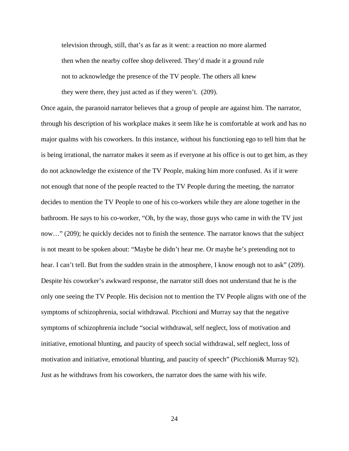television through, still, that's as far as it went: a reaction no more alarmed then when the nearby coffee shop delivered. They'd made it a ground rule not to acknowledge the presence of the TV people. The others all knew they were there, they just acted as if they weren't. (209).

Once again, the paranoid narrator believes that a group of people are against him. The narrator, through his description of his workplace makes it seem like he is comfortable at work and has no major qualms with his coworkers. In this instance, without his functioning ego to tell him that he is being irrational, the narrator makes it seem as if everyone at his office is out to get him, as they do not acknowledge the existence of the TV People, making him more confused. As if it were not enough that none of the people reacted to the TV People during the meeting, the narrator decides to mention the TV People to one of his co-workers while they are alone together in the bathroom. He says to his co-worker, "Oh, by the way, those guys who came in with the TV just now…" (209); he quickly decides not to finish the sentence. The narrator knows that the subject is not meant to be spoken about: "Maybe he didn't hear me. Or maybe he's pretending not to hear. I can't tell. But from the sudden strain in the atmosphere, I know enough not to ask" (209). Despite his coworker's awkward response, the narrator still does not understand that he is the only one seeing the TV People. His decision not to mention the TV People aligns with one of the symptoms of schizophrenia, social withdrawal. Picchioni and Murray say that the negative symptoms of schizophrenia include "social withdrawal, self neglect, loss of motivation and initiative, emotional blunting, and paucity of speech social withdrawal, self neglect, loss of motivation and initiative, emotional blunting, and paucity of speech" (Picchioni& Murray 92). Just as he withdraws from his coworkers, the narrator does the same with his wife.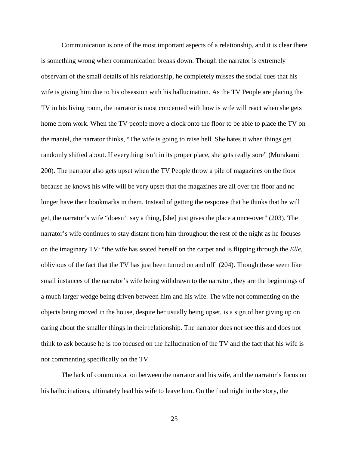Communication is one of the most important aspects of a relationship, and it is clear there is something wrong when communication breaks down. Though the narrator is extremely observant of the small details of his relationship, he completely misses the social cues that his wife is giving him due to his obsession with his hallucination. As the TV People are placing the TV in his living room, the narrator is most concerned with how is wife will react when she gets home from work. When the TV people move a clock onto the floor to be able to place the TV on the mantel, the narrator thinks, "The wife is going to raise hell. She hates it when things get randomly shifted about. If everything isn't in its proper place, she gets really sore" (Murakami 200). The narrator also gets upset when the TV People throw a pile of magazines on the floor because he knows his wife will be very upset that the magazines are all over the floor and no longer have their bookmarks in them. Instead of getting the response that he thinks that he will get, the narrator's wife "doesn't say a thing, [she] just gives the place a once-over" (203). The narrator's wife continues to stay distant from him throughout the rest of the night as he focuses on the imaginary TV: "the wife has seated herself on the carpet and is flipping through the *Elle*, oblivious of the fact that the TV has just been turned on and off' (204). Though these seem like small instances of the narrator's wife being withdrawn to the narrator, they are the beginnings of a much larger wedge being driven between him and his wife. The wife not commenting on the objects being moved in the house, despite her usually being upset, is a sign of her giving up on caring about the smaller things in their relationship. The narrator does not see this and does not think to ask because he is too focused on the hallucination of the TV and the fact that his wife is not commenting specifically on the TV.

The lack of communication between the narrator and his wife, and the narrator's focus on his hallucinations, ultimately lead his wife to leave him. On the final night in the story, the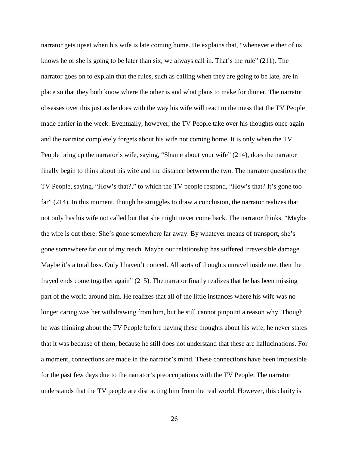narrator gets upset when his wife is late coming home. He explains that, "whenever either of us knows he or she is going to be later than six, we always call in. That's the rule" (211). The narrator goes on to explain that the rules, such as calling when they are going to be late, are in place so that they both know where the other is and what plans to make for dinner. The narrator obsesses over this just as he does with the way his wife will react to the mess that the TV People made earlier in the week. Eventually, however, the TV People take over his thoughts once again and the narrator completely forgets about his wife not coming home. It is only when the TV People bring up the narrator's wife, saying, "Shame about your wife" (214), does the narrator finally begin to think about his wife and the distance between the two. The narrator questions the TV People, saying, "How's that?," to which the TV people respond, "How's that? It's gone too far" (214). In this moment, though he struggles to draw a conclusion, the narrator realizes that not only has his wife not called but that she might never come back. The narrator thinks, "Maybe the wife is out there. She's gone somewhere far away. By whatever means of transport, she's gone somewhere far out of my reach. Maybe our relationship has suffered irreversible damage. Maybe it's a total loss. Only I haven't noticed. All sorts of thoughts unravel inside me, then the frayed ends come together again" (215). The narrator finally realizes that he has been missing part of the world around him. He realizes that all of the little instances where his wife was no longer caring was her withdrawing from him, but he still cannot pinpoint a reason why. Though he was thinking about the TV People before having these thoughts about his wife, he never states that it was because of them, because he still does not understand that these are hallucinations. For a moment, connections are made in the narrator's mind. These connections have been impossible for the past few days due to the narrator's preoccupations with the TV People. The narrator understands that the TV people are distracting him from the real world. However, this clarity is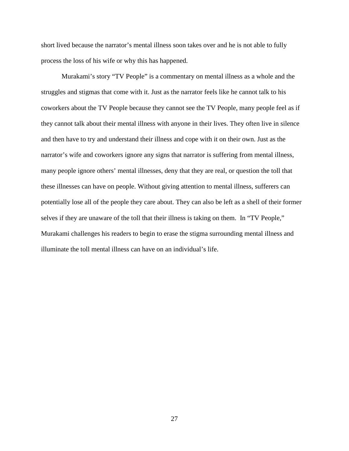short lived because the narrator's mental illness soon takes over and he is not able to fully process the loss of his wife or why this has happened.

Murakami's story "TV People" is a commentary on mental illness as a whole and the struggles and stigmas that come with it. Just as the narrator feels like he cannot talk to his coworkers about the TV People because they cannot see the TV People, many people feel as if they cannot talk about their mental illness with anyone in their lives. They often live in silence and then have to try and understand their illness and cope with it on their own. Just as the narrator's wife and coworkers ignore any signs that narrator is suffering from mental illness, many people ignore others' mental illnesses, deny that they are real, or question the toll that these illnesses can have on people. Without giving attention to mental illness, sufferers can potentially lose all of the people they care about. They can also be left as a shell of their former selves if they are unaware of the toll that their illness is taking on them. In "TV People," Murakami challenges his readers to begin to erase the stigma surrounding mental illness and illuminate the toll mental illness can have on an individual's life.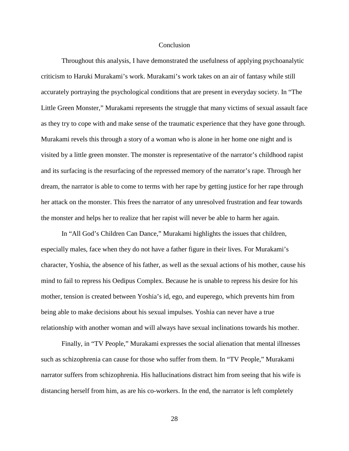## **Conclusion**

Throughout this analysis, I have demonstrated the usefulness of applying psychoanalytic criticism to Haruki Murakami's work. Murakami's work takes on an air of fantasy while still accurately portraying the psychological conditions that are present in everyday society. In "The Little Green Monster," Murakami represents the struggle that many victims of sexual assault face as they try to cope with and make sense of the traumatic experience that they have gone through. Murakami revels this through a story of a woman who is alone in her home one night and is visited by a little green monster. The monster is representative of the narrator's childhood rapist and its surfacing is the resurfacing of the repressed memory of the narrator's rape. Through her dream, the narrator is able to come to terms with her rape by getting justice for her rape through her attack on the monster. This frees the narrator of any unresolved frustration and fear towards the monster and helps her to realize that her rapist will never be able to harm her again.

In "All God's Children Can Dance," Murakami highlights the issues that children, especially males, face when they do not have a father figure in their lives. For Murakami's character, Yoshia, the absence of his father, as well as the sexual actions of his mother, cause his mind to fail to repress his Oedipus Complex. Because he is unable to repress his desire for his mother, tension is created between Yoshia's id, ego, and euperego, which prevents him from being able to make decisions about his sexual impulses. Yoshia can never have a true relationship with another woman and will always have sexual inclinations towards his mother.

Finally, in "TV People," Murakami expresses the social alienation that mental illnesses such as schizophrenia can cause for those who suffer from them. In "TV People," Murakami narrator suffers from schizophrenia. His hallucinations distract him from seeing that his wife is distancing herself from him, as are his co-workers. In the end, the narrator is left completely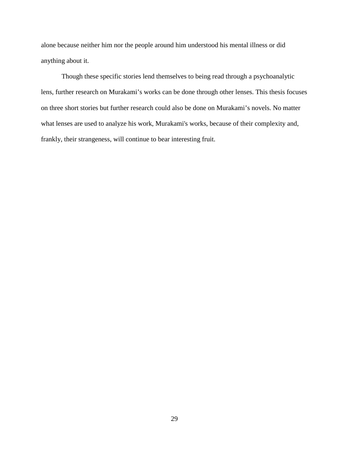alone because neither him nor the people around him understood his mental illness or did anything about it.

Though these specific stories lend themselves to being read through a psychoanalytic lens, further research on Murakami's works can be done through other lenses. This thesis focuses on three short stories but further research could also be done on Murakami's novels. No matter what lenses are used to analyze his work, Murakami's works, because of their complexity and, frankly, their strangeness, will continue to bear interesting fruit.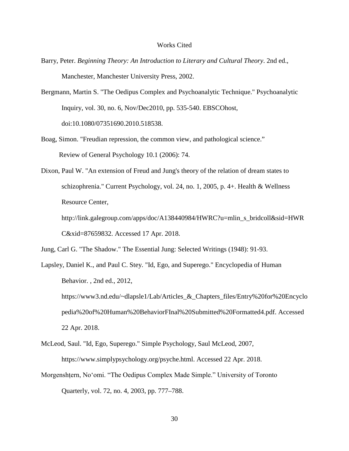#### Works Cited

- Barry, Peter. *Beginning Theory: An Introduction to Literary and Cultural Theory*. 2nd ed., Manchester, Manchester University Press, 2002.
- Bergmann, Martin S. "The Oedipus Complex and Psychoanalytic Technique." Psychoanalytic Inquiry, vol. 30, no. 6, Nov/Dec2010, pp. 535-540. EBSCOhost, doi:10.1080/07351690.2010.518538.
- Boag, Simon. "Freudian repression, the common view, and pathological science." Review of General Psychology 10.1 (2006): 74.
- Dixon, Paul W. "An extension of Freud and Jung's theory of the relation of dream states to schizophrenia." Current Psychology, vol. 24, no. 1, 2005, p. 4+. Health & Wellness Resource Center,

http://link.galegroup.com/apps/doc/A138440984/HWRC?u=mlin\_s\_bridcoll&sid=HWR C&xid=87659832. Accessed 17 Apr. 2018.

Jung, Carl G. "The Shadow." The Essential Jung: Selected Writings (1948): 91-93.

- Lapsley, Daniel K., and Paul C. Stey. "Id, Ego, and Superego." Encyclopedia of Human Behavior. , 2nd ed., 2012, https://www3.nd.edu/~dlapsle1/Lab/Articles\_&\_Chapters\_files/Entry%20for%20Encyclo pedia%20of%20Human%20BehaviorFInal%20Submitted%20Formatted4.pdf. Accessed 22 Apr. 2018.
- McLeod, Saul. "Id, Ego, Superego." Simple Psychology, Saul McLeod, 2007, https://www.simplypsychology.org/psyche.html. Accessed 22 Apr. 2018.
- Morgenshṭern, Noʻomi. "The Oedipus Complex Made Simple." University of Toronto Quarterly, vol. 72, no. 4, 2003, pp. 777–788.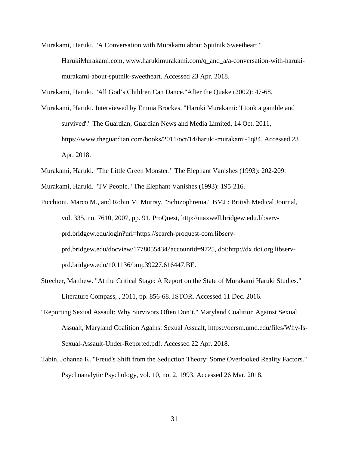Murakami, Haruki. "A Conversation with Murakami about Sputnik Sweetheart."

HarukiMurakami.com, www.harukimurakami.com/q\_and\_a/a-conversation-with-harukimurakami-about-sputnik-sweetheart. Accessed 23 Apr. 2018.

Murakami, Haruki. "All God's Children Can Dance."After the Quake (2002): 47-68.

Murakami, Haruki. Interviewed by Emma Brockes. "Haruki Murakami: 'I took a gamble and survived'." The Guardian, Guardian News and Media Limited, 14 Oct. 2011, https://www.theguardian.com/books/2011/oct/14/haruki-murakami-1q84. Accessed 23 Apr. 2018.

Murakami, Haruki. "The Little Green Monster." The Elephant Vanishes (1993): 202-209.

Murakami, Haruki. "TV People." The Elephant Vanishes (1993): 195-216.

Picchioni, Marco M., and Robin M. Murray. "Schizophrenia." BMJ : British Medical Journal, vol. 335, no. 7610, 2007, pp. 91. ProQuest, http://maxwell.bridgew.edu.libservprd.bridgew.edu/login?url=https://search-proquest-com.libservprd.bridgew.edu/docview/1778055434?accountid=9725, doi:http://dx.doi.org.libservprd.bridgew.edu/10.1136/bmj.39227.616447.BE.

- Strecher, Matthew. "At the Critical Stage: A Report on the State of Murakami Haruki Studies." Literature Compass, , 2011, pp. 856-68. JSTOR. Accessed 11 Dec. 2016.
- "Reporting Sexual Assault: Why Survivors Often Don't." Maryland Coalition Against Sexual Assualt, Maryland Coalition Against Sexual Assualt, https://ocrsm.umd.edu/files/Why-Is-Sexual-Assault-Under-Reported.pdf. Accessed 22 Apr. 2018.
- Tabin, Johanna K. "Freud's Shift from the Seduction Theory: Some Overlooked Reality Factors." Psychoanalytic Psychology, vol. 10, no. 2, 1993, Accessed 26 Mar. 2018.